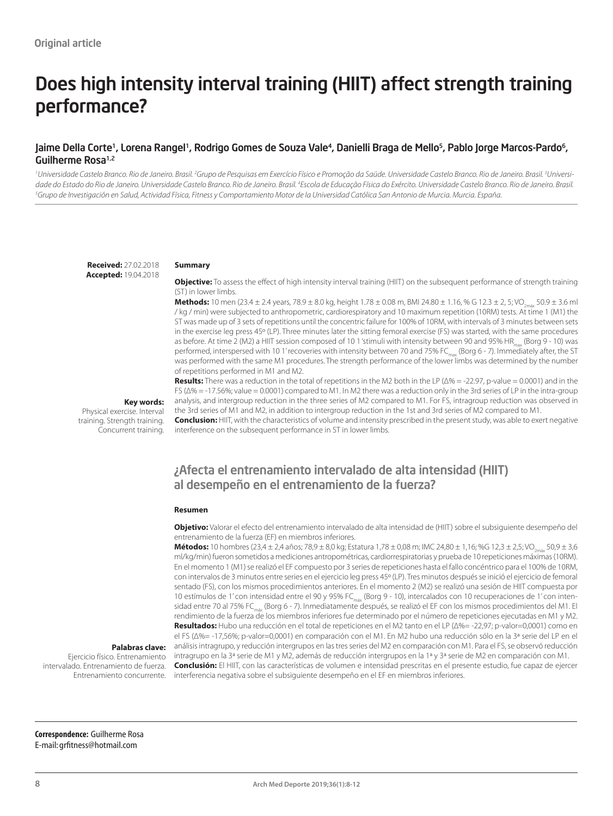# Does high intensity interval training (HIIT) affect strength training performance?

## Jaime Della Corte<sup>1</sup>, Lorena Rangel<sup>1</sup>, Rodrigo Gomes de Souza Vale<sup>4</sup>, Danielli Braga de Mello<sup>5</sup>, Pablo Jorge Marcos-Pardo<sup>6</sup>, Guilherme Rosa<sup>1,2</sup>

<sup>1</sup>Universidade Castelo Branco. Rio de Janeiro. Brasil. <sup>2</sup>Grupo de Pesquisas em Exercício Físico e Promoção da Saúde. Universidade Castelo Branco. Rio de Janeiro. Brasil. <sup>3</sup>Universidade do Estado do Rio de Janeiro. Universidade Castelo Branco. Rio de Janeiro. Brasil. <del>'</del>Escola de Educação Física do Exército. Universidade Castelo Branco. Rio de Janeiro. Brasil.<br><sup>3</sup>Grupo de Investigación en Salud Activ *Grupo de Investigación en Salud, Actividad Física, Fitness y Comportamiento Motor de la Universidad Católica San Antonio de Murcia. Murcia. España.*

**Received:** 27.02.2018 **Accepted:** 19.04.2018

#### **Summary**

**Objective:** To assess the effect of high intensity interval training (HIIT) on the subsequent performance of strength training (ST) in lower limbs.

**Methods:** 10 men (23.4 ± 2.4 years, 78.9 ± 8.0 kg, height  $1.78 \pm 0.08$  m, BMI 24.80 ±  $1.16$ , % G  $12.3 \pm 2$ , 5; VO<sub>3m/a</sub> 50.9 ± 3.6 ml / kg / min) were subjected to anthropometric, cardiorespiratory and 10 maximum repetition (10RM) tests. At time 1 (M1) the ST was made up of 3 sets of repetitions until the concentric failure for 100% of 10RM, with intervals of 3 minutes between sets in the exercise leg press 45º (LP). Three minutes later the sitting femoral exercise (FS) was started, with the same procedures as before. At time 2 (M2) a HIIT session composed of 10 1 'stimuli with intensity between 90 and 95% HR<sub>max</sub> (Borg 9 - 10) was performed, interspersed with 10 1' recoveries with intensity between 70 and 75% FC<sub>max</sub> (Borg 6 - 7). Immediately after, the ST was performed with the same M1 procedures. The strength performance of the lower limbs was determined by the number of repetitions performed in M1 and M2.

**Key words:** 

Physical exercise. Interval training. Strength training. Concurrent training. **Results:** There was a reduction in the total of repetitions in the M2 both in the LP (Δ% = -22.97, p-value = 0.0001) and in the FS (Δ% = -17.56%; value = 0.0001) compared to M1. In M2 there was a reduction only in the 3rd series of LP in the intra-group analysis, and intergroup reduction in the three series of M2 compared to M1. For FS, intragroup reduction was observed in the 3rd series of M1 and M2, in addition to intergroup reduction in the 1st and 3rd series of M2 compared to M1.

**Conclusion:** HIIT, with the characteristics of volume and intensity prescribed in the present study, was able to exert negative interference on the subsequent performance in ST in lower limbs.

# ¿Afecta el entrenamiento intervalado de alta intensidad (HIIT) al desempeño en el entrenamiento de la fuerza?

#### **Resumen**

**Objetivo:** Valorar el efecto del entrenamiento intervalado de alta intensidad de (HIIT) sobre el subsiguiente desempeño del entrenamiento de la fuerza (EF) en miembros inferiores.

**Métodos:** 10 hombres (23,4 ± 2,4 años; 78,9 ± 8,0 kg; Estatura 1,78 ± 0,08 m; IMC 24,80 ± 1,16; %G 12,3 ± 2,5; VO<sub>2m</sub>, 50,9 ± 3,6 ml/kg/min) fueron sometidos a mediciones antropométricas, cardiorrespiratorias y prueba de 10 repeticiones máximas (10RM). En el momento 1 (M1) se realizó el EF compuesto por 3 series de repeticiones hasta el fallo concéntrico para el 100% de 10RM, con intervalos de 3 minutos entre series en el ejercicio leg press 45º (LP). Tres minutos después se inició el ejercicio de femoral sentado (FS), con los mismos procedimientos anteriores. En el momento 2 (M2) se realizó una sesión de HIIT compuesta por 10 estímulos de 1' con intensidad entre el 90 y 95% FC<sub>máx</sub> (Borg 9 - 10), intercalados con 10 recuperaciones de 1' con intensidad entre 70 al 75% FC<sub>máx</sub> (Borg 6 - 7). Inmediatamente después, se realizó el EF con los mismos procedimientos del M1. El rendimiento de la fuerza de los miembros inferiores fue determinado por el número de repeticiones ejecutadas en M1 y M2. **Resultados:** Hubo una reducción en el total de repeticiones en el M2 tanto en el LP (Δ%= -22,97; p-valor=0,0001) como en el FS (Δ%= -17,56%; p-valor=0,0001) en comparación con el M1. En M2 hubo una reducción sólo en la 3ª serie del LP en el análisis intragrupo, y reducción intergrupos en las tres series del M2 en comparación con M1. Para el FS, se observó reducción

#### **Palabras clave:**

Ejercicio físico. Entrenamiento intervalado. Entrenamiento de fuerza. Entrenamiento concurrente.

intragrupo en la 3ª serie de M1 y M2, además de reducción intergrupos en la 1ª y 3ª serie de M2 en comparación con M1. **Conclusión:** El HIIT, con las características de volumen e intensidad prescritas en el presente estudio, fue capaz de ejercer interferencia negativa sobre el subsiguiente desempeño en el EF en miembros inferiores.

**Correspondence:** Guilherme Rosa E-mail: grfitness@hotmail.com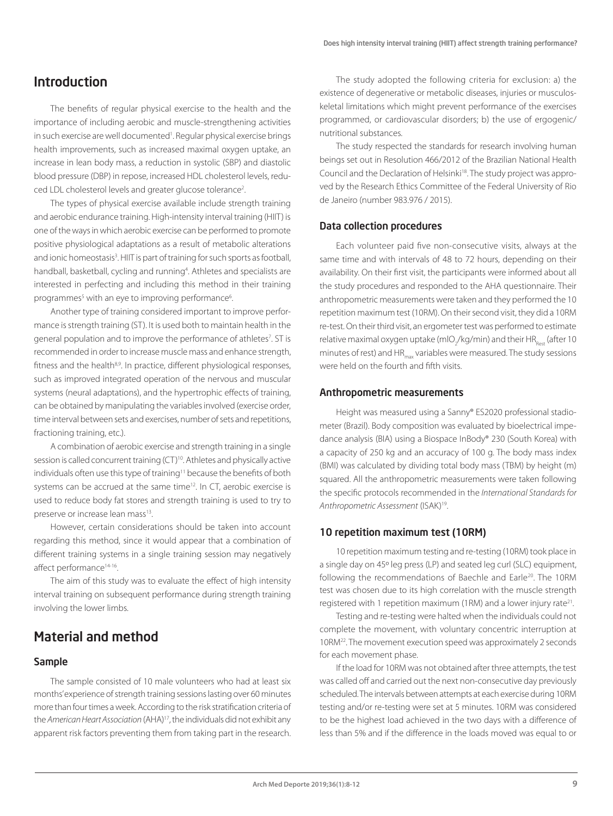# Introduction

The benefits of regular physical exercise to the health and the importance of including aerobic and muscle-strengthening activities in such exercise are well documented'. Regular physical exercise brings health improvements, such as increased maximal oxygen uptake, an increase in lean body mass, a reduction in systolic (SBP) and diastolic blood pressure (DBP) in repose, increased HDL cholesterol levels, reduced LDL cholesterol levels and greater glucose tolerance2 .

The types of physical exercise available include strength training and aerobic endurance training. High-intensity interval training (HIIT) is one of the ways in which aerobic exercise can be performed to promote positive physiological adaptations as a result of metabolic alterations and ionic homeostasis<sup>3</sup>. HIIT is part of training for such sports as football, handball, basketball, cycling and running<sup>4</sup>. Athletes and specialists are interested in perfecting and including this method in their training programmes<sup>5</sup> with an eye to improving performance<sup>6</sup> .

Another type of training considered important to improve performance is strength training (ST). It is used both to maintain health in the general population and to improve the performance of athletes<sup>7</sup>. ST is recommended in order to increase muscle mass and enhance strength, fitness and the health<sup>8,9</sup>. In practice, different physiological responses, such as improved integrated operation of the nervous and muscular systems (neural adaptations), and the hypertrophic effects of training, can be obtained by manipulating the variables involved (exercise order, time interval between sets and exercises, number of sets and repetitions, fractioning training, etc.).

A combination of aerobic exercise and strength training in a single session is called concurrent training (CT)<sup>10</sup>. Athletes and physically active individuals often use this type of training<sup>11</sup> because the benefits of both systems can be accrued at the same time<sup>12</sup>. In CT, aerobic exercise is used to reduce body fat stores and strength training is used to try to preserve or increase lean mass<sup>13</sup>.

However, certain considerations should be taken into account regarding this method, since it would appear that a combination of different training systems in a single training session may negatively affect performance<sup>14-16</sup>.

The aim of this study was to evaluate the effect of high intensity interval training on subsequent performance during strength training involving the lower limbs.

# Material and method

## Sample

The sample consisted of 10 male volunteers who had at least six months' experience of strength training sessions lasting over 60 minutes more than four times a week. According to the risk stratification criteria of the *American Heart Association* (AHA)17, the individuals did not exhibit any apparent risk factors preventing them from taking part in the research.

The study adopted the following criteria for exclusion: a) the existence of degenerative or metabolic diseases, injuries or musculoskeletal limitations which might prevent performance of the exercises programmed, or cardiovascular disorders; b) the use of ergogenic/ nutritional substances.

The study respected the standards for research involving human beings set out in Resolution 466/2012 of the Brazilian National Health Council and the Declaration of Helsinki<sup>18</sup>. The study project was approved by the Research Ethics Committee of the Federal University of Rio de Janeiro (number 983.976 / 2015).

#### Data collection procedures

Each volunteer paid five non-consecutive visits, always at the same time and with intervals of 48 to 72 hours, depending on their availability. On their first visit, the participants were informed about all the study procedures and responded to the AHA questionnaire. Their anthropometric measurements were taken and they performed the 10 repetition maximum test (10RM). On their second visit, they did a 10RM re-test. On their third visit, an ergometer test was performed to estimate relative maximal oxygen uptake (mlO<sub>2</sub>/kg/min) and their HR<sub>Rest</sub> (after 10 minutes of rest) and HR<sub>max</sub> variables were measured. The study sessions were held on the fourth and fifth visits.

#### Anthropometric measurements

Height was measured using a Sanny® ES2020 professional stadiometer (Brazil). Body composition was evaluated by bioelectrical impedance analysis (BIA) using a Biospace InBody® 230 (South Korea) with a capacity of 250 kg and an accuracy of 100 g. The body mass index (BMI) was calculated by dividing total body mass (TBM) by height (m) squared. All the anthropometric measurements were taken following the specific protocols recommended in the *International Standards for Anthropometric Assessment* (ISAK)19.

#### 10 repetition maximum test (10RM)

10 repetition maximum testing and re-testing (10RM) took place in a single day on 45º leg press (LP) and seated leg curl (SLC) equipment, following the recommendations of Baechle and Earle<sup>20</sup>. The 10RM test was chosen due to its high correlation with the muscle strength registered with 1 repetition maximum (1RM) and a lower injury rate<sup>21</sup>.

Testing and re-testing were halted when the individuals could not complete the movement, with voluntary concentric interruption at 10RM22. The movement execution speed was approximately 2 seconds for each movement phase.

If the load for 10RM was not obtained after three attempts, the test was called off and carried out the next non-consecutive day previously scheduled. The intervals between attempts at each exercise during 10RM testing and/or re-testing were set at 5 minutes. 10RM was considered to be the highest load achieved in the two days with a difference of less than 5% and if the difference in the loads moved was equal to or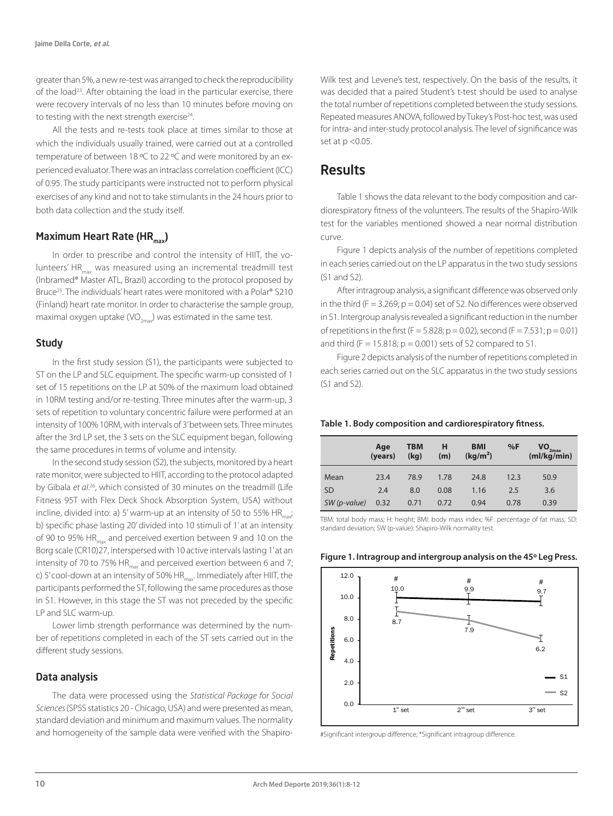greater than 5%, a new re-test was arranged to check the reproducibility of the load23. After obtaining the load in the particular exercise, there were recovery intervals of no less than 10 minutes before moving on to testing with the next strength exercise<sup>24</sup>.

All the tests and re-tests took place at times similar to those at which the individuals usually trained, were carried out at a controlled temperature of between 18 ºC to 22 ºC and were monitored by an experienced evaluator. There was an intraclass correlation coefficient (ICC) of 0.95. The study participants were instructed not to perform physical exercises of any kind and not to take stimulants in the 24 hours prior to both data collection and the study itself.

## Maximum Heart Rate (HR<sub>max</sub>)

In order to prescribe and control the intensity of HIIT, the volunteers' HR<sub>max</sub> was measured using an incremental treadmill test (Inbramed® Master ATL, Brazil) according to the protocol proposed by Bruce25. The individuals' heart rates were monitored with a Polar® S210 (Finland) heart rate monitor. In order to characterise the sample group, maximal oxygen uptake (VO<sub>2max</sub>) was estimated in the same test.

#### **Study**

In the first study session (S1), the participants were subjected to ST on the LP and SLC equipment. The specific warm-up consisted of 1 set of 15 repetitions on the LP at 50% of the maximum load obtained in 10RM testing and/or re-testing. Three minutes after the warm-up, 3 sets of repetition to voluntary concentric failure were performed at an intensity of 100% 10RM, with intervals of 3' between sets. Three minutes after the 3rd LP set, the 3 sets on the SLC equipment began, following the same procedures in terms of volume and intensity.

In the second study session (S2), the subjects, monitored by a heart rate monitor, were subjected to HIIT, according to the protocol adapted by Gibala *et al*. 26, which consisted of 30 minutes on the treadmill (Life Fitness 95T with Flex Deck Shock Absorption System, USA) without incline, divided into: a) 5' warm-up at an intensity of 50 to 55%  $HR_{mid}$ b) specific phase lasting 20' divided into 10 stimuli of 1' at an intensity of 90 to 95% HR<sub>max</sub> and perceived exertion between 9 and 10 on the Borg scale (CR10)27, interspersed with 10 active intervals lasting 1' at an intensity of 70 to 75%  $HR_{max}$  and perceived exertion between 6 and 7; c) 5' cool-down at an intensity of 50%  $HR_{max}$ . Immediately after HIIT, the participants performed the ST, following the same procedures as those in S1. However, in this stage the ST was not preceded by the specific LP and SLC warm-up.

Lower limb strength performance was determined by the number of repetitions completed in each of the ST sets carried out in the different study sessions.

### Data analysis

The data were processed using the *Statistical Package for Social Sciences* (SPSS statistics 20 - Chicago, USA) and were presented as mean, standard deviation and minimum and maximum values. The normality and homogeneity of the sample data were verified with the ShapiroWilk test and Levene's test, respectively. On the basis of the results, it was decided that a paired Student's t-test should be used to analyse the total number of repetitions completed between the study sessions. Repeated measures ANOVA, followed by Tukey's Post-hoc test, was used for intra- and inter-study protocol analysis. The level of significance was set at  $p < 0.05$ .

# Results

Table 1 shows the data relevant to the body composition and cardiorespiratory fitness of the volunteers. The results of the Shapiro-Wilk test for the variables mentioned showed a near normal distribution curve.

Figure 1 depicts analysis of the number of repetitions completed in each series carried out on the LP apparatus in the two study sessions (S1 and S2).

After intragroup analysis, a significant difference was observed only in the third ( $F = 3.269$ ;  $p = 0.04$ ) set of S2. No differences were observed in S1. Intergroup analysis revealed a significant reduction in the number of repetitions in the first (F = 5.828; p = 0.02), second (F = 7.531; p = 0.01) and third ( $F = 15.818$ ;  $p = 0.001$ ) sets of S2 compared to S1.

Figure 2 depicts analysis of the number of repetitions completed in each series carried out on the SLC apparatus in the two study sessions (S1 and S2).

#### **Table 1. Body composition and cardiorespiratory fitness.**

|               | Age<br>(years) | <b>TBM</b><br>(kq) | н<br>(m) | <b>BMI</b><br>(kq/m <sup>2</sup> ) | %F   | $VO_{2max}$<br>(mI/kg/min) |
|---------------|----------------|--------------------|----------|------------------------------------|------|----------------------------|
| Mean          | 23.4           | 78.9               | 1.78     | 24.8                               | 12.3 | 50.9                       |
| <b>SD</b>     | 2.4            | 8.0                | 0.08     | 1.16                               | 2.5  | 3.6                        |
| $SW(p-value)$ | 0.32           | 0.71               | 0.72     | 0.94                               | 0.78 | 0.39                       |

TBM: total body mass; H: height; BMI: body mass index; %F: percentage of fat mass; SD: standard deviation; SW (p-value): Shapiro-Wilk normality test.



## **Figure 1. Intragroup and intergroup analysis on the 45º Leg Press.**

#Significant intergroup difference; \*Significant intragroup difference.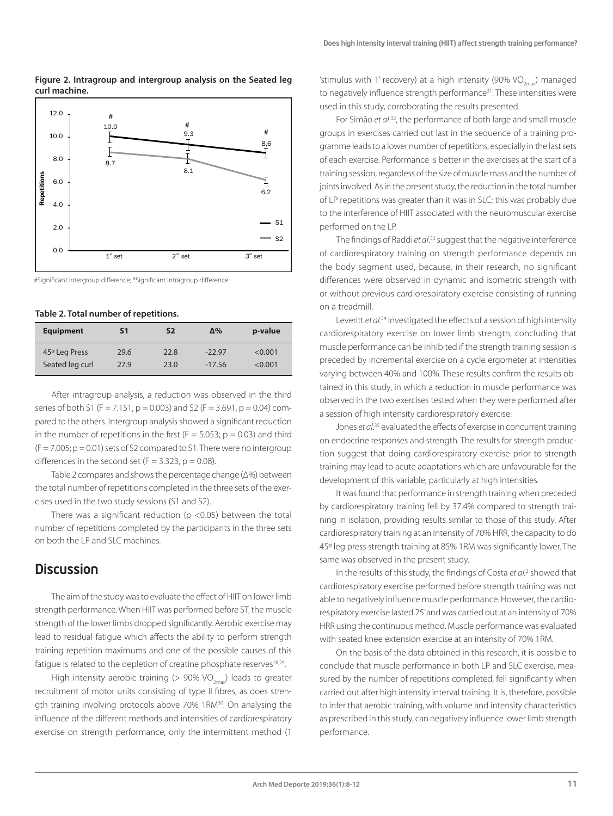#### **Figure 2. Intragroup and intergroup analysis on the Seated leg curl machine.**



#Significant intergroup difference; \*Significant intragroup difference.

#### **Table 2. Total number of repetitions.**

| <b>Equipment</b> | S1   | S2   | $\Delta\%$ | p-value |
|------------------|------|------|------------|---------|
| 45° Leg Press    | 29.6 | 22.8 | $-22.97$   | < 0.001 |
| Seated leg curl  | 27.9 | 23.0 | $-17.56$   | < 0.001 |

After intragroup analysis, a reduction was observed in the third series of both S1 (F = 7.151, p = 0.003) and S2 (F = 3.691, p = 0.04) compared to the others. Intergroup analysis showed a significant reduction in the number of repetitions in the first ( $F = 5.053$ ; p = 0.03) and third  $(F = 7.005; p = 0.01)$  sets of S2 compared to S1. There were no intergroup differences in the second set  $(F = 3.323, p = 0.08)$ .

Table 2 compares and shows the percentage change (Δ%) between the total number of repetitions completed in the three sets of the exercises used in the two study sessions (S1 and S2).

There was a significant reduction ( $p$  <0.05) between the total number of repetitions completed by the participants in the three sets on both the LP and SLC machines.

## **Discussion**

The aim of the study was to evaluate the effect of HIIT on lower limb strength performance. When HIIT was performed before ST, the muscle strength of the lower limbs dropped significantly. Aerobic exercise may lead to residual fatigue which affects the ability to perform strength training repetition maximums and one of the possible causes of this fatique is related to the depletion of creatine phosphate reserves<sup>28,29</sup>.

High intensity aerobic training (> 90% VO<sub>2max</sub>) leads to greater recruitment of motor units consisting of type II fibres, as does strength training involving protocols above 70% 1RM<sup>30</sup>. On analysing the influence of the different methods and intensities of cardiorespiratory exercise on strength performance, only the intermittent method (1

'stimulus with 1' recovery) at a high intensity  $(90\%$  VO<sub>2max</sub>) managed to negatively influence strength performance<sup>31</sup>. These intensities were used in this study, corroborating the results presented.

For Simão et al.<sup>32</sup>, the performance of both large and small muscle groups in exercises carried out last in the sequence of a training programme leads to a lower number of repetitions, especially in the last sets of each exercise. Performance is better in the exercises at the start of a training session, regardless of the size of muscle mass and the number of joints involved. As in the present study, the reduction in the total number of LP repetitions was greater than it was in SLC; this was probably due to the interference of HIIT associated with the neuromuscular exercise performed on the LP.

The findings of Raddi *et al*. 33 suggest that the negative interference of cardiorespiratory training on strength performance depends on the body segment used, because, in their research, no significant differences were observed in dynamic and isometric strength with or without previous cardiorespiratory exercise consisting of running on a treadmill.

Leveritt *et al.*34 investigated the effects of a session of high intensity cardiorespiratory exercise on lower limb strength, concluding that muscle performance can be inhibited if the strength training session is preceded by incremental exercise on a cycle ergometer at intensities varying between 40% and 100%. These results confirm the results obtained in this study, in which a reduction in muscle performance was observed in the two exercises tested when they were performed after a session of high intensity cardiorespiratory exercise.

Jones *et al*. 35 evaluated the effects of exercise in concurrent training on endocrine responses and strength. The results for strength production suggest that doing cardiorespiratory exercise prior to strength training may lead to acute adaptations which are unfavourable for the development of this variable, particularly at high intensities.

It was found that performance in strength training when preceded by cardiorespiratory training fell by 37.4% compared to strength training in isolation, providing results similar to those of this study. After cardiorespiratory training at an intensity of 70% HRR, the capacity to do 45º leg press strength training at 85% 1RM was significantly lower. The same was observed in the present study.

In the results of this study, the findings of Costa et al.<sup>2</sup> showed that cardiorespiratory exercise performed before strength training was not able to negatively influence muscle performance. However, the cardiorespiratory exercise lasted 25' and was carried out at an intensity of 70% HRR using the continuous method. Muscle performance was evaluated with seated knee extension exercise at an intensity of 70% 1RM.

On the basis of the data obtained in this research, it is possible to conclude that muscle performance in both LP and SLC exercise, measured by the number of repetitions completed, fell significantly when carried out after high intensity interval training. It is, therefore, possible to infer that aerobic training, with volume and intensity characteristics as prescribed in this study, can negatively influence lower limb strength performance.